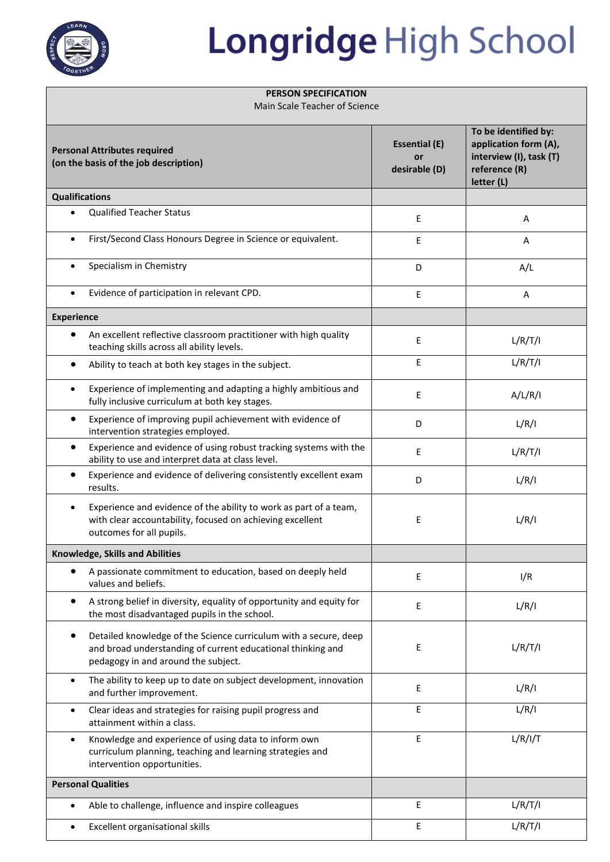

## Longridge High School

## **PERSON SPECIFICATION**

Main Scale Teacher of Science

| <b>Personal Attributes required</b><br>(on the basis of the job description) |                                                                                                                                                                        | <b>Essential (E)</b><br>or<br>desirable (D) | To be identified by:<br>application form (A),<br>interview (I), task (T)<br>reference (R)<br>letter (L) |
|------------------------------------------------------------------------------|------------------------------------------------------------------------------------------------------------------------------------------------------------------------|---------------------------------------------|---------------------------------------------------------------------------------------------------------|
| <b>Qualifications</b>                                                        |                                                                                                                                                                        |                                             |                                                                                                         |
| $\bullet$                                                                    | <b>Qualified Teacher Status</b>                                                                                                                                        | E                                           | Α                                                                                                       |
| $\bullet$                                                                    | First/Second Class Honours Degree in Science or equivalent.                                                                                                            | E                                           | A                                                                                                       |
| $\bullet$                                                                    | Specialism in Chemistry                                                                                                                                                | D                                           | A/L                                                                                                     |
| $\bullet$                                                                    | Evidence of participation in relevant CPD.                                                                                                                             | E                                           | A                                                                                                       |
| <b>Experience</b>                                                            |                                                                                                                                                                        |                                             |                                                                                                         |
| ٠                                                                            | An excellent reflective classroom practitioner with high quality<br>teaching skills across all ability levels.                                                         | Ε                                           | L/R/T/I                                                                                                 |
|                                                                              | Ability to teach at both key stages in the subject.                                                                                                                    | E                                           | L/R/T/I                                                                                                 |
| $\bullet$                                                                    | Experience of implementing and adapting a highly ambitious and<br>fully inclusive curriculum at both key stages.                                                       | E                                           | A/L/R/I                                                                                                 |
|                                                                              | Experience of improving pupil achievement with evidence of<br>intervention strategies employed.                                                                        | D                                           | L/R/I                                                                                                   |
|                                                                              | Experience and evidence of using robust tracking systems with the<br>ability to use and interpret data at class level.                                                 | E                                           | L/R/T/I                                                                                                 |
| $\bullet$                                                                    | Experience and evidence of delivering consistently excellent exam<br>results.                                                                                          | D                                           | L/R/I                                                                                                   |
| $\bullet$                                                                    | Experience and evidence of the ability to work as part of a team,<br>with clear accountability, focused on achieving excellent<br>outcomes for all pupils.             | E                                           | L/R/I                                                                                                   |
| <b>Knowledge, Skills and Abilities</b>                                       |                                                                                                                                                                        |                                             |                                                                                                         |
|                                                                              | A passionate commitment to education, based on deeply held<br>values and beliefs.                                                                                      | Ε                                           | I/R                                                                                                     |
|                                                                              | A strong belief in diversity, equality of opportunity and equity for<br>the most disadvantaged pupils in the school.                                                   | E                                           | L/R/I                                                                                                   |
|                                                                              | Detailed knowledge of the Science curriculum with a secure, deep<br>and broad understanding of current educational thinking and<br>pedagogy in and around the subject. | Ε                                           | L/R/T/I                                                                                                 |
| $\bullet$                                                                    | The ability to keep up to date on subject development, innovation<br>and further improvement.                                                                          | Ε                                           | L/R/I                                                                                                   |
| $\bullet$                                                                    | Clear ideas and strategies for raising pupil progress and<br>attainment within a class.                                                                                | E                                           | L/R/I                                                                                                   |
| $\bullet$                                                                    | Knowledge and experience of using data to inform own<br>curriculum planning, teaching and learning strategies and<br>intervention opportunities.                       | Ε                                           | L/R/I/T                                                                                                 |
| <b>Personal Qualities</b>                                                    |                                                                                                                                                                        |                                             |                                                                                                         |
|                                                                              | Able to challenge, influence and inspire colleagues                                                                                                                    | Ε                                           | L/R/T/I                                                                                                 |
| $\bullet$                                                                    | Excellent organisational skills                                                                                                                                        | E                                           | L/R/T/I                                                                                                 |